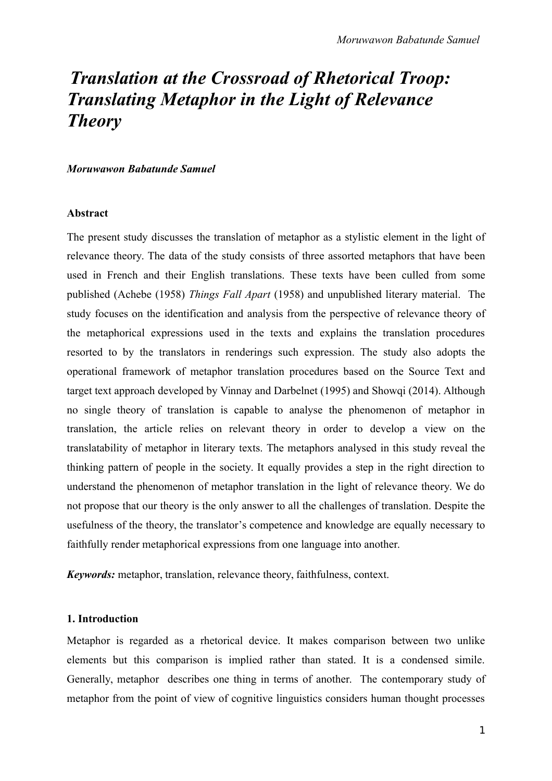# *Translation at the Crossroad of Rhetorical Troop: Translating Metaphor in the Light of Relevance Theory*

#### *Moruwawon Babatunde Samuel*

#### **Abstract**

The present study discusses the translation of metaphor as a stylistic element in the light of relevance theory. The data of the study consists of three assorted metaphors that have been used in French and their English translations. These texts have been culled from some published (Achebe (1958) *Things Fall Apart* (1958) and unpublished literary material. The study focuses on the identification and analysis from the perspective of relevance theory of the metaphorical expressions used in the texts and explains the translation procedures resorted to by the translators in renderings such expression. The study also adopts the operational framework of metaphor translation procedures based on the Source Text and target text approach developed by Vinnay and Darbelnet (1995) and Showqi (2014). Although no single theory of translation is capable to analyse the phenomenon of metaphor in translation, the article relies on relevant theory in order to develop a view on the translatability of metaphor in literary texts. The metaphors analysed in this study reveal the thinking pattern of people in the society. It equally provides a step in the right direction to understand the phenomenon of metaphor translation in the light of relevance theory. We do not propose that our theory is the only answer to all the challenges of translation. Despite the usefulness of the theory, the translator's competence and knowledge are equally necessary to faithfully render metaphorical expressions from one language into another.

*Keywords:* metaphor, translation, relevance theory, faithfulness, context.

#### **1. Introduction**

Metaphor is regarded as a rhetorical device. It makes comparison between two unlike elements but this comparison is implied rather than stated. It is a condensed simile. Generally, metaphor describes one thing in terms of another. The contemporary study of metaphor from the point of view of cognitive linguistics considers human thought processes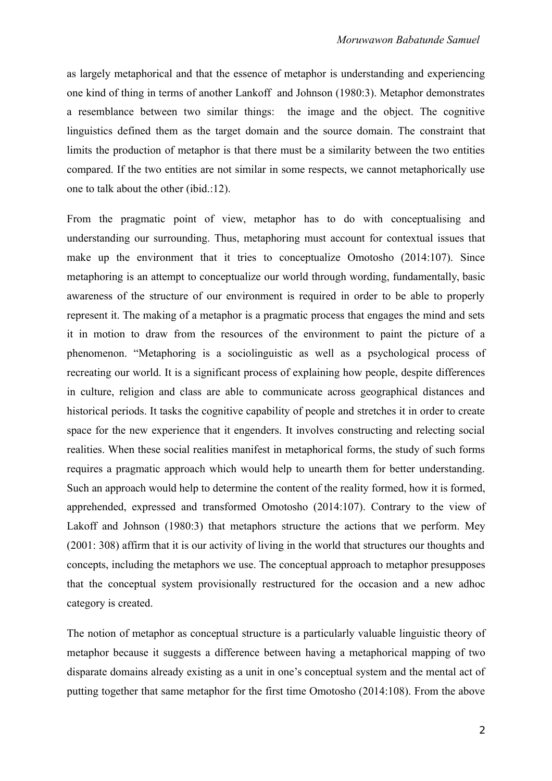as largely metaphorical and that the essence of metaphor is understanding and experiencing one kind of thing in terms of another Lankoff and Johnson (1980:3). Metaphor demonstrates a resemblance between two similar things: the image and the object. The cognitive linguistics defined them as the target domain and the source domain. The constraint that limits the production of metaphor is that there must be a similarity between the two entities compared. If the two entities are not similar in some respects, we cannot metaphorically use one to talk about the other (ibid.:12).

From the pragmatic point of view, metaphor has to do with conceptualising and understanding our surrounding. Thus, metaphoring must account for contextual issues that make up the environment that it tries to conceptualize Omotosho (2014:107). Since metaphoring is an attempt to conceptualize our world through wording, fundamentally, basic awareness of the structure of our environment is required in order to be able to properly represent it. The making of a metaphor is a pragmatic process that engages the mind and sets it in motion to draw from the resources of the environment to paint the picture of a phenomenon. "Metaphoring is a sociolinguistic as well as a psychological process of recreating our world. It is a significant process of explaining how people, despite differences in culture, religion and class are able to communicate across geographical distances and historical periods. It tasks the cognitive capability of people and stretches it in order to create space for the new experience that it engenders. It involves constructing and relecting social realities. When these social realities manifest in metaphorical forms, the study of such forms requires a pragmatic approach which would help to unearth them for better understanding. Such an approach would help to determine the content of the reality formed, how it is formed, apprehended, expressed and transformed Omotosho (2014:107). Contrary to the view of Lakoff and Johnson (1980:3) that metaphors structure the actions that we perform. Mey (2001: 308) affirm that it is our activity of living in the world that structures our thoughts and concepts, including the metaphors we use. The conceptual approach to metaphor presupposes that the conceptual system provisionally restructured for the occasion and a new adhoc category is created.

The notion of metaphor as conceptual structure is a particularly valuable linguistic theory of metaphor because it suggests a difference between having a metaphorical mapping of two disparate domains already existing as a unit in one's conceptual system and the mental act of putting together that same metaphor for the first time Omotosho (2014:108). From the above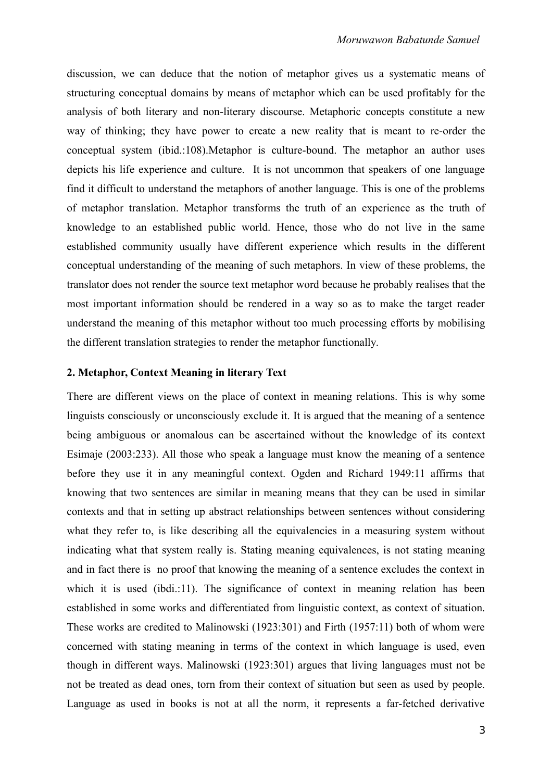discussion, we can deduce that the notion of metaphor gives us a systematic means of structuring conceptual domains by means of metaphor which can be used profitably for the analysis of both literary and non-literary discourse. Metaphoric concepts constitute a new way of thinking; they have power to create a new reality that is meant to re-order the conceptual system (ibid.:108).Metaphor is culture-bound. The metaphor an author uses depicts his life experience and culture. It is not uncommon that speakers of one language find it difficult to understand the metaphors of another language. This is one of the problems of metaphor translation. Metaphor transforms the truth of an experience as the truth of knowledge to an established public world. Hence, those who do not live in the same established community usually have different experience which results in the different conceptual understanding of the meaning of such metaphors. In view of these problems, the translator does not render the source text metaphor word because he probably realises that the most important information should be rendered in a way so as to make the target reader understand the meaning of this metaphor without too much processing efforts by mobilising the different translation strategies to render the metaphor functionally.

## **2. Metaphor, Context Meaning in literary Text**

There are different views on the place of context in meaning relations. This is why some linguists consciously or unconsciously exclude it. It is argued that the meaning of a sentence being ambiguous or anomalous can be ascertained without the knowledge of its context Esimaje (2003:233). All those who speak a language must know the meaning of a sentence before they use it in any meaningful context. Ogden and Richard 1949:11 affirms that knowing that two sentences are similar in meaning means that they can be used in similar contexts and that in setting up abstract relationships between sentences without considering what they refer to, is like describing all the equivalencies in a measuring system without indicating what that system really is. Stating meaning equivalences, is not stating meaning and in fact there is no proof that knowing the meaning of a sentence excludes the context in which it is used (ibdi.:11). The significance of context in meaning relation has been established in some works and differentiated from linguistic context, as context of situation. These works are credited to Malinowski (1923:301) and Firth (1957:11) both of whom were concerned with stating meaning in terms of the context in which language is used, even though in different ways. Malinowski (1923:301) argues that living languages must not be not be treated as dead ones, torn from their context of situation but seen as used by people. Language as used in books is not at all the norm, it represents a far-fetched derivative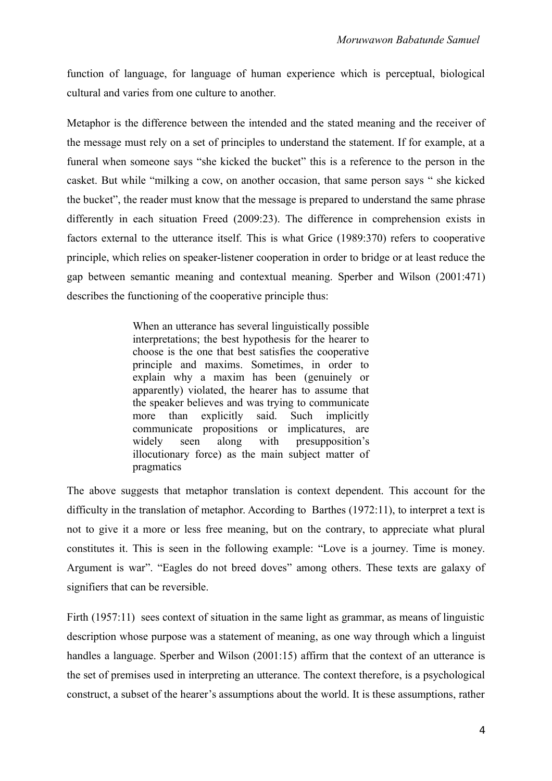function of language, for language of human experience which is perceptual, biological cultural and varies from one culture to another.

Metaphor is the difference between the intended and the stated meaning and the receiver of the message must rely on a set of principles to understand the statement. If for example, at a funeral when someone says "she kicked the bucket" this is a reference to the person in the casket. But while "milking a cow, on another occasion, that same person says " she kicked the bucket", the reader must know that the message is prepared to understand the same phrase differently in each situation Freed (2009:23). The difference in comprehension exists in factors external to the utterance itself. This is what Grice (1989:370) refers to cooperative principle, which relies on speaker-listener cooperation in order to bridge or at least reduce the gap between semantic meaning and contextual meaning. Sperber and Wilson (2001:471) describes the functioning of the cooperative principle thus:

> When an utterance has several linguistically possible interpretations; the best hypothesis for the hearer to choose is the one that best satisfies the cooperative principle and maxims. Sometimes, in order to explain why a maxim has been (genuinely or apparently) violated, the hearer has to assume that the speaker believes and was trying to communicate more than explicitly said. Such implicitly communicate propositions or implicatures, are widely seen along with presupposition's illocutionary force) as the main subject matter of pragmatics

The above suggests that metaphor translation is context dependent. This account for the difficulty in the translation of metaphor. According to Barthes (1972:11), to interpret a text is not to give it a more or less free meaning, but on the contrary, to appreciate what plural constitutes it. This is seen in the following example: "Love is a journey. Time is money. Argument is war". "Eagles do not breed doves" among others. These texts are galaxy of signifiers that can be reversible.

Firth (1957:11) sees context of situation in the same light as grammar, as means of linguistic description whose purpose was a statement of meaning, as one way through which a linguist handles a language. Sperber and Wilson (2001:15) affirm that the context of an utterance is the set of premises used in interpreting an utterance. The context therefore, is a psychological construct, a subset of the hearer's assumptions about the world. It is these assumptions, rather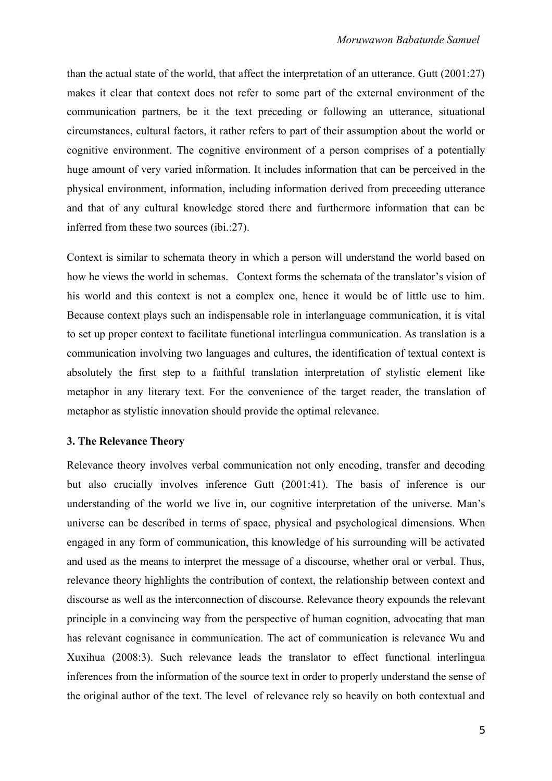than the actual state of the world, that affect the interpretation of an utterance. Gutt (2001:27) makes it clear that context does not refer to some part of the external environment of the communication partners, be it the text preceding or following an utterance, situational circumstances, cultural factors, it rather refers to part of their assumption about the world or cognitive environment. The cognitive environment of a person comprises of a potentially huge amount of very varied information. It includes information that can be perceived in the physical environment, information, including information derived from preceeding utterance and that of any cultural knowledge stored there and furthermore information that can be inferred from these two sources (ibi.:27).

Context is similar to schemata theory in which a person will understand the world based on how he views the world in schemas. Context forms the schemata of the translator's vision of his world and this context is not a complex one, hence it would be of little use to him. Because context plays such an indispensable role in interlanguage communication, it is vital to set up proper context to facilitate functional interlingua communication. As translation is a communication involving two languages and cultures, the identification of textual context is absolutely the first step to a faithful translation interpretation of stylistic element like metaphor in any literary text. For the convenience of the target reader, the translation of metaphor as stylistic innovation should provide the optimal relevance.

### **3. The Relevance Theory**

Relevance theory involves verbal communication not only encoding, transfer and decoding but also crucially involves inference Gutt (2001:41). The basis of inference is our understanding of the world we live in, our cognitive interpretation of the universe. Man's universe can be described in terms of space, physical and psychological dimensions. When engaged in any form of communication, this knowledge of his surrounding will be activated and used as the means to interpret the message of a discourse, whether oral or verbal. Thus, relevance theory highlights the contribution of context, the relationship between context and discourse as well as the interconnection of discourse. Relevance theory expounds the relevant principle in a convincing way from the perspective of human cognition, advocating that man has relevant cognisance in communication. The act of communication is relevance Wu and Xuxihua (2008:3). Such relevance leads the translator to effect functional interlingua inferences from the information of the source text in order to properly understand the sense of the original author of the text. The level of relevance rely so heavily on both contextual and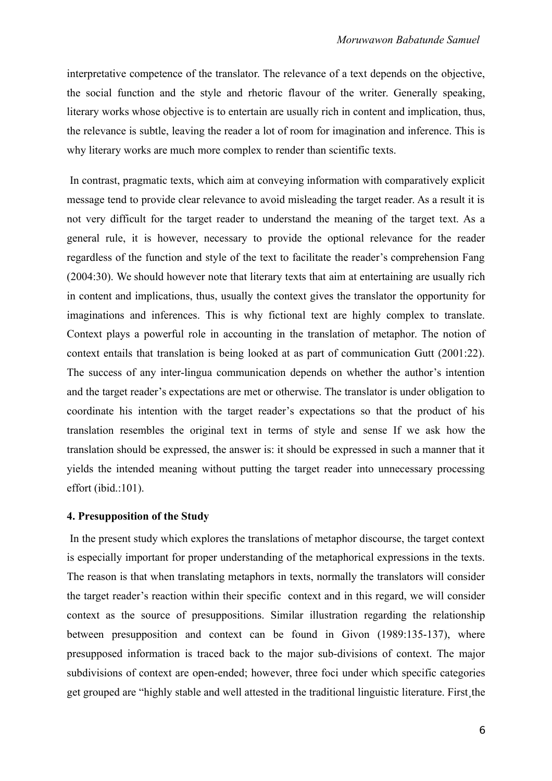interpretative competence of the translator. The relevance of a text depends on the objective, the social function and the style and rhetoric flavour of the writer. Generally speaking, literary works whose objective is to entertain are usually rich in content and implication, thus, the relevance is subtle, leaving the reader a lot of room for imagination and inference. This is why literary works are much more complex to render than scientific texts.

 In contrast, pragmatic texts, which aim at conveying information with comparatively explicit message tend to provide clear relevance to avoid misleading the target reader. As a result it is not very difficult for the target reader to understand the meaning of the target text. As a general rule, it is however, necessary to provide the optional relevance for the reader regardless of the function and style of the text to facilitate the reader's comprehension Fang (2004:30). We should however note that literary texts that aim at entertaining are usually rich in content and implications, thus, usually the context gives the translator the opportunity for imaginations and inferences. This is why fictional text are highly complex to translate. Context plays a powerful role in accounting in the translation of metaphor. The notion of context entails that translation is being looked at as part of communication Gutt (2001:22). The success of any inter-lingua communication depends on whether the author's intention and the target reader's expectations are met or otherwise. The translator is under obligation to coordinate his intention with the target reader's expectations so that the product of his translation resembles the original text in terms of style and sense If we ask how the translation should be expressed, the answer is: it should be expressed in such a manner that it yields the intended meaning without putting the target reader into unnecessary processing effort (ibid.:101).

## **4. Presupposition of the Study**

 In the present study which explores the translations of metaphor discourse, the target context is especially important for proper understanding of the metaphorical expressions in the texts. The reason is that when translating metaphors in texts, normally the translators will consider the target reader's reaction within their specific context and in this regard, we will consider context as the source of presuppositions. Similar illustration regarding the relationship between presupposition and context can be found in Givon (1989:135-137), where presupposed information is traced back to the major sub-divisions of context. The major subdivisions of context are open-ended; however, three foci under which specific categories get grouped are "highly stable and well attested in the traditional linguistic literature. First the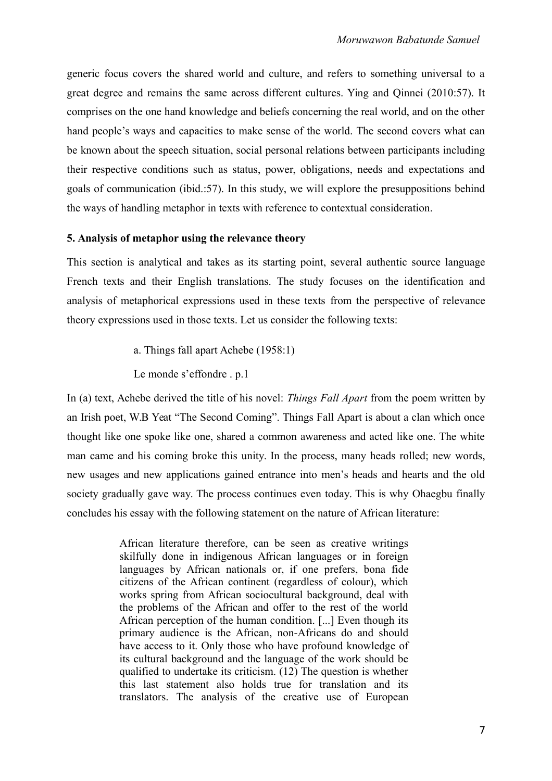generic focus covers the shared world and culture, and refers to something universal to a great degree and remains the same across different cultures. Ying and Qinnei (2010:57). It comprises on the one hand knowledge and beliefs concerning the real world, and on the other hand people's ways and capacities to make sense of the world. The second covers what can be known about the speech situation, social personal relations between participants including their respective conditions such as status, power, obligations, needs and expectations and goals of communication (ibid.:57). In this study, we will explore the presuppositions behind the ways of handling metaphor in texts with reference to contextual consideration.

# **5. Analysis of metaphor using the relevance theory**

This section is analytical and takes as its starting point, several authentic source language French texts and their English translations. The study focuses on the identification and analysis of metaphorical expressions used in these texts from the perspective of relevance theory expressions used in those texts. Let us consider the following texts:

a. Things fall apart Achebe (1958:1)

Le monde s'effondre . p.1

In (a) text, Achebe derived the title of his novel: *Things Fall Apart* from the poem written by an Irish poet, W.B Yeat "The Second Coming". Things Fall Apart is about a clan which once thought like one spoke like one, shared a common awareness and acted like one. The white man came and his coming broke this unity. In the process, many heads rolled; new words, new usages and new applications gained entrance into men's heads and hearts and the old society gradually gave way. The process continues even today. This is why Ohaegbu finally concludes his essay with the following statement on the nature of African literature:

> African literature therefore, can be seen as creative writings skilfully done in indigenous African languages or in foreign languages by African nationals or, if one prefers, bona fide citizens of the African continent (regardless of colour), which works spring from African sociocultural background, deal with the problems of the African and offer to the rest of the world African perception of the human condition. [...] Even though its primary audience is the African, non-Africans do and should have access to it. Only those who have profound knowledge of its cultural background and the language of the work should be qualified to undertake its criticism. (12) The question is whether this last statement also holds true for translation and its translators. The analysis of the creative use of European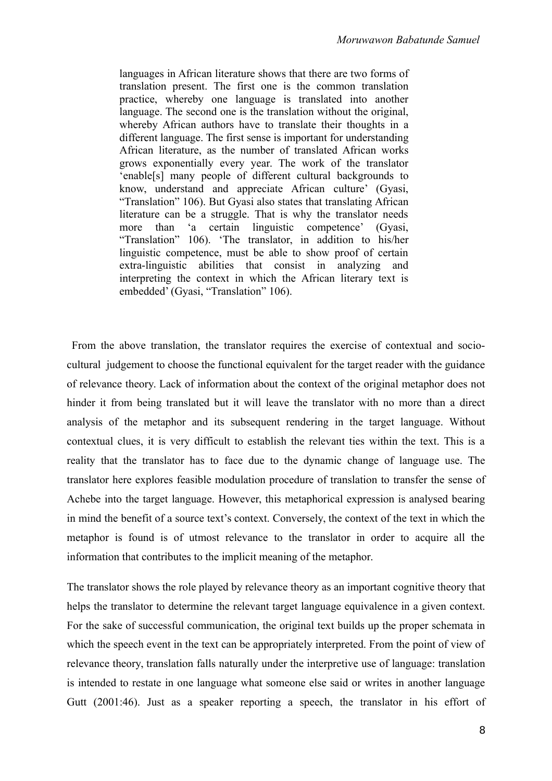languages in African literature shows that there are two forms of translation present. The first one is the common translation practice, whereby one language is translated into another language. The second one is the translation without the original, whereby African authors have to translate their thoughts in a different language. The first sense is important for understanding African literature, as the number of translated African works grows exponentially every year. The work of the translator 'enable[s] many people of different cultural backgrounds to know, understand and appreciate African culture' (Gyasi, "Translation" 106). But Gyasi also states that translating African literature can be a struggle. That is why the translator needs more than 'a certain linguistic competence' (Gyasi, "Translation" 106). 'The translator, in addition to his/her linguistic competence, must be able to show proof of certain extra-linguistic abilities that consist in analyzing and interpreting the context in which the African literary text is embedded' (Gyasi, "Translation" 106).

 From the above translation, the translator requires the exercise of contextual and sociocultural judgement to choose the functional equivalent for the target reader with the guidance of relevance theory. Lack of information about the context of the original metaphor does not hinder it from being translated but it will leave the translator with no more than a direct analysis of the metaphor and its subsequent rendering in the target language. Without contextual clues, it is very difficult to establish the relevant ties within the text. This is a reality that the translator has to face due to the dynamic change of language use. The translator here explores feasible modulation procedure of translation to transfer the sense of Achebe into the target language. However, this metaphorical expression is analysed bearing in mind the benefit of a source text's context. Conversely, the context of the text in which the metaphor is found is of utmost relevance to the translator in order to acquire all the information that contributes to the implicit meaning of the metaphor.

The translator shows the role played by relevance theory as an important cognitive theory that helps the translator to determine the relevant target language equivalence in a given context. For the sake of successful communication, the original text builds up the proper schemata in which the speech event in the text can be appropriately interpreted. From the point of view of relevance theory, translation falls naturally under the interpretive use of language: translation is intended to restate in one language what someone else said or writes in another language Gutt (2001:46). Just as a speaker reporting a speech, the translator in his effort of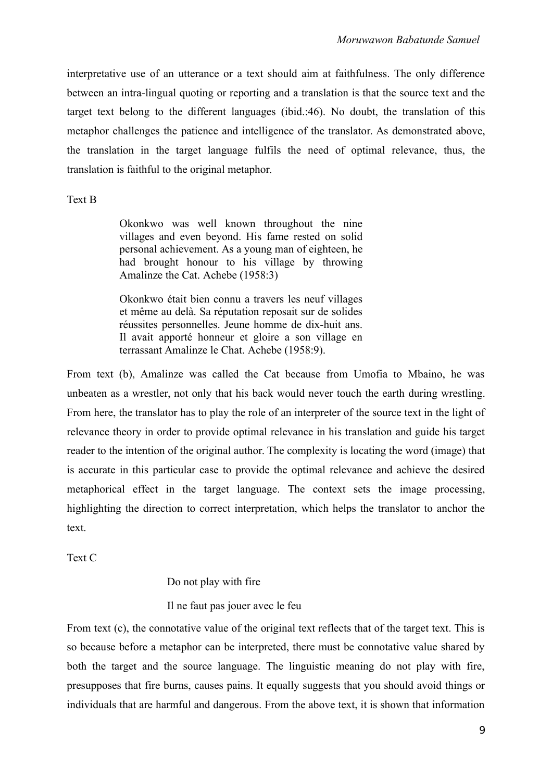interpretative use of an utterance or a text should aim at faithfulness. The only difference between an intra-lingual quoting or reporting and a translation is that the source text and the target text belong to the different languages (ibid.:46). No doubt, the translation of this metaphor challenges the patience and intelligence of the translator. As demonstrated above, the translation in the target language fulfils the need of optimal relevance, thus, the translation is faithful to the original metaphor.

# Text B

Okonkwo was well known throughout the nine villages and even beyond. His fame rested on solid personal achievement. As a young man of eighteen, he had brought honour to his village by throwing Amalinze the Cat. Achebe (1958:3)

Okonkwo était bien connu a travers les neuf villages et même au delà. Sa réputation reposait sur de solides réussites personnelles. Jeune homme de dix-huit ans. Il avait apporté honneur et gloire a son village en terrassant Amalinze le Chat. Achebe (1958:9).

From text (b), Amalinze was called the Cat because from Umofia to Mbaino, he was unbeaten as a wrestler, not only that his back would never touch the earth during wrestling. From here, the translator has to play the role of an interpreter of the source text in the light of relevance theory in order to provide optimal relevance in his translation and guide his target reader to the intention of the original author. The complexity is locating the word (image) that is accurate in this particular case to provide the optimal relevance and achieve the desired metaphorical effect in the target language. The context sets the image processing, highlighting the direction to correct interpretation, which helps the translator to anchor the text.

Text C

## Do not play with fire

Il ne faut pas jouer avec le feu

From text (c), the connotative value of the original text reflects that of the target text. This is so because before a metaphor can be interpreted, there must be connotative value shared by both the target and the source language. The linguistic meaning do not play with fire, presupposes that fire burns, causes pains. It equally suggests that you should avoid things or individuals that are harmful and dangerous. From the above text, it is shown that information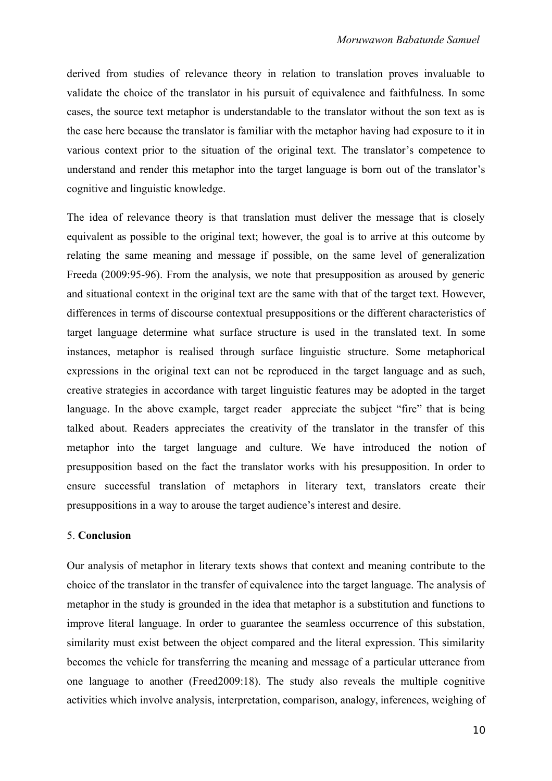derived from studies of relevance theory in relation to translation proves invaluable to validate the choice of the translator in his pursuit of equivalence and faithfulness. In some cases, the source text metaphor is understandable to the translator without the son text as is the case here because the translator is familiar with the metaphor having had exposure to it in various context prior to the situation of the original text. The translator's competence to understand and render this metaphor into the target language is born out of the translator's cognitive and linguistic knowledge.

The idea of relevance theory is that translation must deliver the message that is closely equivalent as possible to the original text; however, the goal is to arrive at this outcome by relating the same meaning and message if possible, on the same level of generalization Freeda (2009:95-96). From the analysis, we note that presupposition as aroused by generic and situational context in the original text are the same with that of the target text. However, differences in terms of discourse contextual presuppositions or the different characteristics of target language determine what surface structure is used in the translated text. In some instances, metaphor is realised through surface linguistic structure. Some metaphorical expressions in the original text can not be reproduced in the target language and as such, creative strategies in accordance with target linguistic features may be adopted in the target language. In the above example, target reader appreciate the subject "fire" that is being talked about. Readers appreciates the creativity of the translator in the transfer of this metaphor into the target language and culture. We have introduced the notion of presupposition based on the fact the translator works with his presupposition. In order to ensure successful translation of metaphors in literary text, translators create their presuppositions in a way to arouse the target audience's interest and desire.

## 5. **Conclusion**

Our analysis of metaphor in literary texts shows that context and meaning contribute to the choice of the translator in the transfer of equivalence into the target language. The analysis of metaphor in the study is grounded in the idea that metaphor is a substitution and functions to improve literal language. In order to guarantee the seamless occurrence of this substation, similarity must exist between the object compared and the literal expression. This similarity becomes the vehicle for transferring the meaning and message of a particular utterance from one language to another (Freed2009:18). The study also reveals the multiple cognitive activities which involve analysis, interpretation, comparison, analogy, inferences, weighing of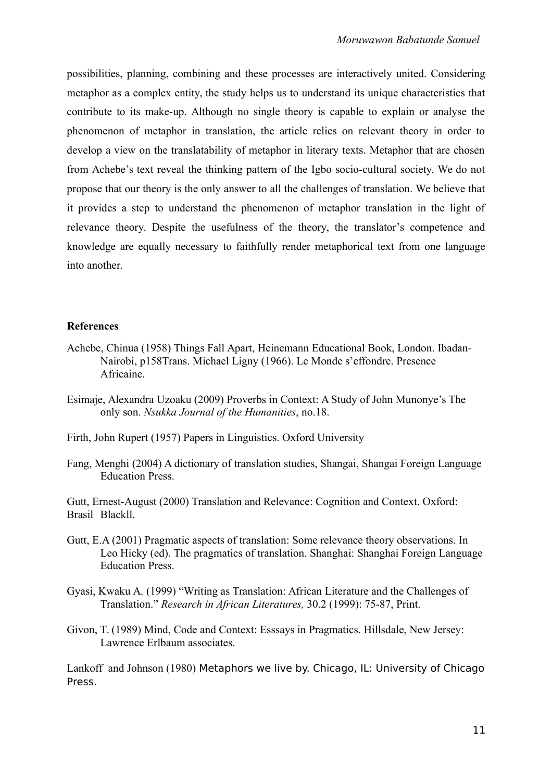possibilities, planning, combining and these processes are interactively united. Considering metaphor as a complex entity, the study helps us to understand its unique characteristics that contribute to its make-up. Although no single theory is capable to explain or analyse the phenomenon of metaphor in translation, the article relies on relevant theory in order to develop a view on the translatability of metaphor in literary texts. Metaphor that are chosen from Achebe's text reveal the thinking pattern of the Igbo socio-cultural society. We do not propose that our theory is the only answer to all the challenges of translation. We believe that it provides a step to understand the phenomenon of metaphor translation in the light of relevance theory. Despite the usefulness of the theory, the translator's competence and knowledge are equally necessary to faithfully render metaphorical text from one language into another.

#### **References**

- Achebe, Chinua (1958) Things Fall Apart, Heinemann Educational Book, London. Ibadan-Nairobi, p158Trans. Michael Ligny (1966). Le Monde s'effondre. Presence Africaine.
- Esimaje, Alexandra Uzoaku (2009) Proverbs in Context: A Study of John Munonye's The only son. *Nsukka Journal of the Humanities*, no.18.
- Firth, John Rupert (1957) Papers in Linguistics. Oxford University
- Fang, Menghi (2004) A dictionary of translation studies, Shangai, Shangai Foreign Language Education Press.

Gutt, Ernest-August (2000) Translation and Relevance: Cognition and Context. Oxford: Brasil Blackll.

- Gutt, E.A (2001) Pragmatic aspects of translation: Some relevance theory observations. In Leo Hicky (ed). The pragmatics of translation. Shanghai: Shanghai Foreign Language Education Press.
- Gyasi, Kwaku A. (1999) "Writing as Translation: African Literature and the Challenges of Translation." *Research in African Literatures,* 30.2 (1999): 75-87, Print.
- Givon, T. (1989) Mind, Code and Context: Esssays in Pragmatics. Hillsdale, New Jersey: Lawrence Erlbaum associates.

Lankoff and Johnson (1980) Metaphors we live by. Chicago, IL: University of Chicago Press.